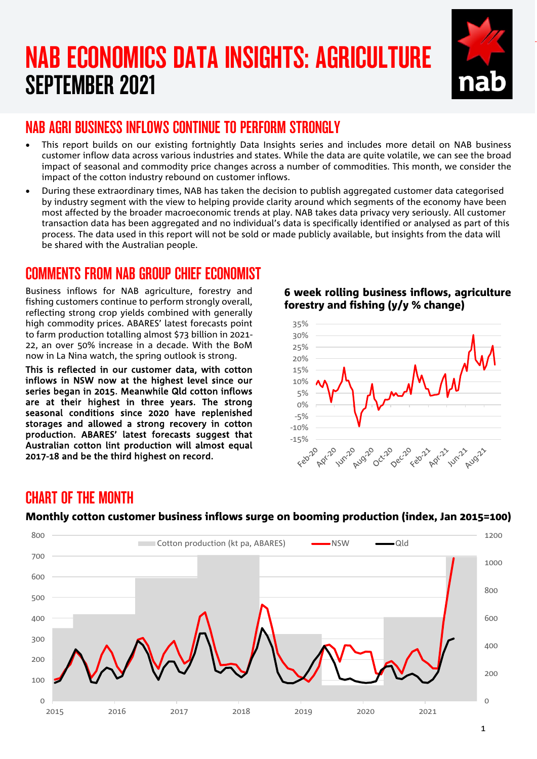# NAB ECONOMICS DATA INSIGHTS: AGRICULTURE SEPTEMBER 2021



## NAB AGRI BUSINESS INFLOWS CONTINUE TO PERFORM STRONGLY

- This report builds on our existing fortnightly Data Insights series and includes more detail on NAB business customer inflow data across various industries and states. While the data are quite volatile, we can see the broad impact of seasonal and commodity price changes across a number of commodities. This month, we consider the impact of the cotton industry rebound on customer inflows.
- During these extraordinary times, NAB has taken the decision to publish aggregated customer data categorised by industry segment with the view to helping provide clarity around which segments of the economy have been most affected by the broader macroeconomic trends at play. NAB takes data privacy very seriously. All customer transaction data has been aggregated and no individual's data is specifically identified or analysed as part of this process. The data used in this report will not be sold or made publicly available, but insights from the data will be shared with the Australian people.

## COMMENTS FROM NAB GROUP CHIEF ECONOMIST

Business inflows for NAB agriculture, forestry and fishing customers continue to perform strongly overall. reflecting strong crop yields combined with generally high commodity prices. ABARES' latest forecasts point to farm production totalling almost \$73 billion in 2021- 22, an over 50% increase in a decade. With the BoM now in La Nina watch, the spring outlook is strong.

This is reflected in our customer data, with cotton inflows in NSW now at the highest level since our series began in 2015. Meanwhile Qld cotton inflows are at their highest in three years. The strong seasonal conditions since 2020 have replenished storages and allowed a strong recovery in cotton production. ABARES' latest forecasts suggest that Australian cotton lint production will almost equal 2017-18 and be the third highest on record.

### 6 week rolling business inflows, agriculture forestry and fishing (y/y % change)



## CHART OF THE MONTH



### Monthly cotton customer business inflows surge on booming production (index, Jan 2015=100)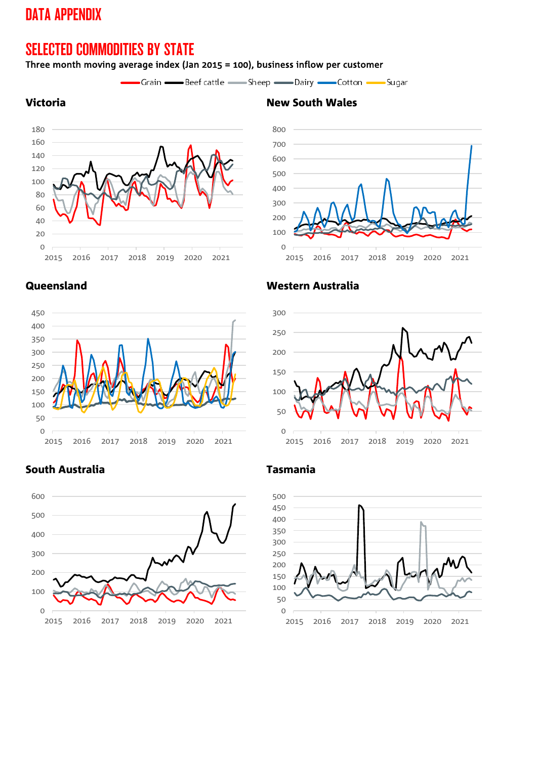## DATA APPENDIX

## SELECTED COMMODITIES BY STATE

### Three month moving average index (Jan 2015 = 100), business inflow per customer

-Grain - Beef cattle - Sheep - Dairy - Cotton - Sugar







### South Australia Tasmania



### Queensland Western Australia





## **Victoria** New South Wales